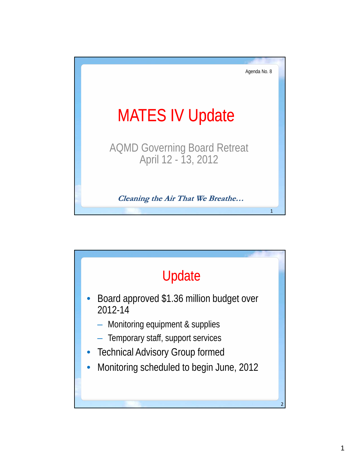

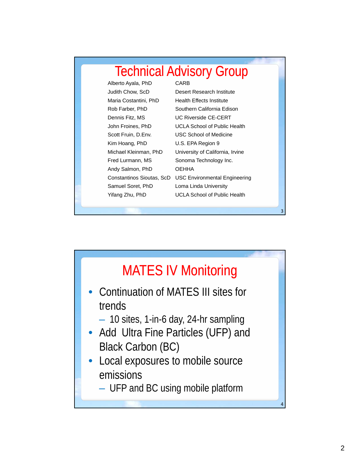| <b>Technical Advisory Group</b> |                                      |  |
|---------------------------------|--------------------------------------|--|
| Alberto Ayala, PhD              | CARB                                 |  |
| Judith Chow, ScD                | Desert Research Institute            |  |
| Maria Costantini, PhD           | <b>Health Effects Institute</b>      |  |
| Rob Farber, PhD                 | Southern California Edison           |  |
| Dennis Fitz, MS                 | <b>UC Riverside CE-CERT</b>          |  |
| John Froines, PhD               | <b>UCLA School of Public Health</b>  |  |
| Scott Fruin, D.Env.             | USC School of Medicine               |  |
| Kim Hoang, PhD                  | U.S. EPA Region 9                    |  |
| Michael Kleinman, PhD           | University of California, Irvine     |  |
| Fred Lurmann, MS                | Sonoma Technology Inc.               |  |
| Andy Salmon, PhD                | OEHHA                                |  |
| Constantinos Sioutas, ScD       | <b>USC Environmental Engineering</b> |  |
| Samuel Soret, PhD               | Loma Linda University                |  |
| Yifang Zhu, PhD                 | <b>UCLA School of Public Health</b>  |  |
|                                 |                                      |  |
|                                 |                                      |  |



3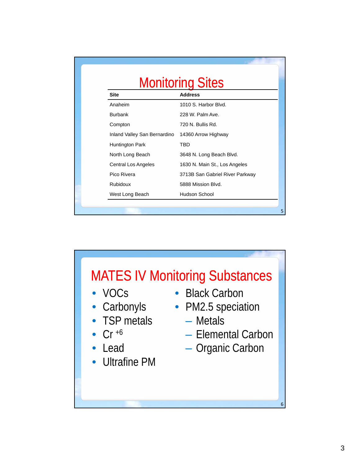| <b>Monitoring Sites</b>      |                                 |  |
|------------------------------|---------------------------------|--|
| <b>Site</b>                  | <b>Address</b>                  |  |
| Anaheim                      | 1010 S. Harbor Blvd.            |  |
| <b>Burbank</b>               | 228 W. Palm Ave.                |  |
| Compton                      | 720 N. Bullis Rd.               |  |
| Inland Valley San Bernardino | 14360 Arrow Highway             |  |
| Huntington Park              | TBD                             |  |
| North Long Beach             | 3648 N. Long Beach Blvd.        |  |
| Central Los Angeles          | 1630 N. Main St., Los Angeles   |  |
| Pico Rivera                  | 3713B San Gabriel River Parkway |  |
| <b>Rubidoux</b>              | 5888 Mission Blvd.              |  |
| West Long Beach              | Hudson School                   |  |

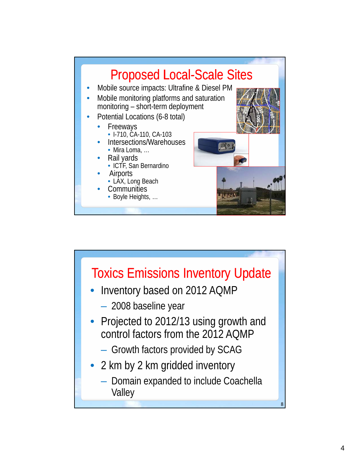

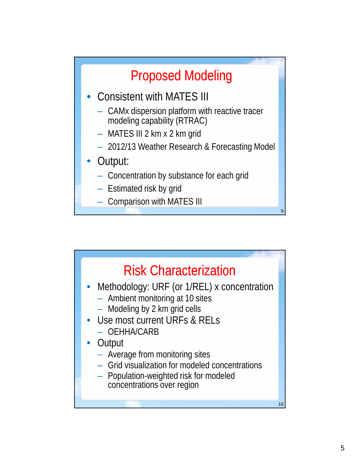

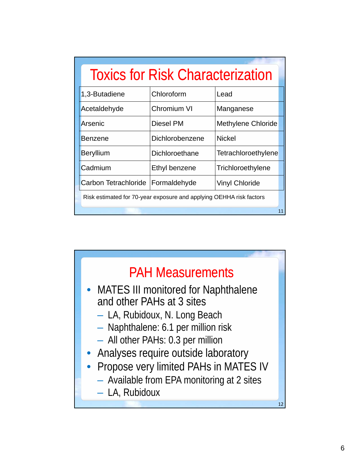| <b>Toxics for Risk Characterization</b>                             |                 |                           |  |
|---------------------------------------------------------------------|-----------------|---------------------------|--|
| 1,3-Butadiene                                                       | Chloroform      | Lead                      |  |
| Acetaldehyde                                                        | Chromium VI     | Manganese                 |  |
| Arsenic                                                             | Diesel PM       | <b>Methylene Chloride</b> |  |
| <b>Benzene</b>                                                      | Dichlorobenzene | <b>Nickel</b>             |  |
| <b>Beryllium</b>                                                    | Dichloroethane  | Tetrachloroethylene       |  |
| Cadmium                                                             | Ethyl benzene   | Trichloroethylene         |  |
| Carbon Tetrachloride                                                | Formaldehyde    | <b>Vinyl Chloride</b>     |  |
| Risk estimated for 70-year exposure and applying OEHHA risk factors |                 |                           |  |
| 11                                                                  |                 |                           |  |

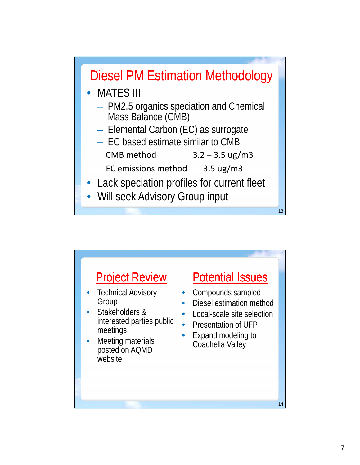